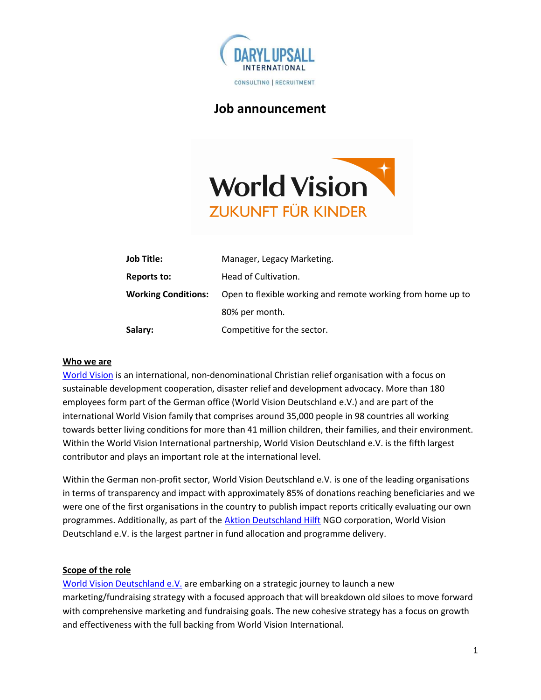

# Job announcement



| <b>Job Title:</b>          | Manager, Legacy Marketing.                                  |
|----------------------------|-------------------------------------------------------------|
| Reports to:                | Head of Cultivation.                                        |
| <b>Working Conditions:</b> | Open to flexible working and remote working from home up to |
|                            | 80% per month.                                              |
| Salary:                    | Competitive for the sector.                                 |

## Who we are

World Vision is an international, non-denominational Christian relief organisation with a focus on sustainable development cooperation, disaster relief and development advocacy. More than 180 employees form part of the German office (World Vision Deutschland e.V.) and are part of the international World Vision family that comprises around 35,000 people in 98 countries all working towards better living conditions for more than 41 million children, their families, and their environment. Within the World Vision International partnership, World Vision Deutschland e.V. is the fifth largest contributor and plays an important role at the international level.

Within the German non-profit sector, World Vision Deutschland e.V. is one of the leading organisations in terms of transparency and impact with approximately 85% of donations reaching beneficiaries and we were one of the first organisations in the country to publish impact reports critically evaluating our own programmes. Additionally, as part of the Aktion Deutschland Hilft NGO corporation, World Vision Deutschland e.V. is the largest partner in fund allocation and programme delivery.

## Scope of the role

World Vision Deutschland e.V. are embarking on a strategic journey to launch a new marketing/fundraising strategy with a focused approach that will breakdown old siloes to move forward with comprehensive marketing and fundraising goals. The new cohesive strategy has a focus on growth and effectiveness with the full backing from World Vision International.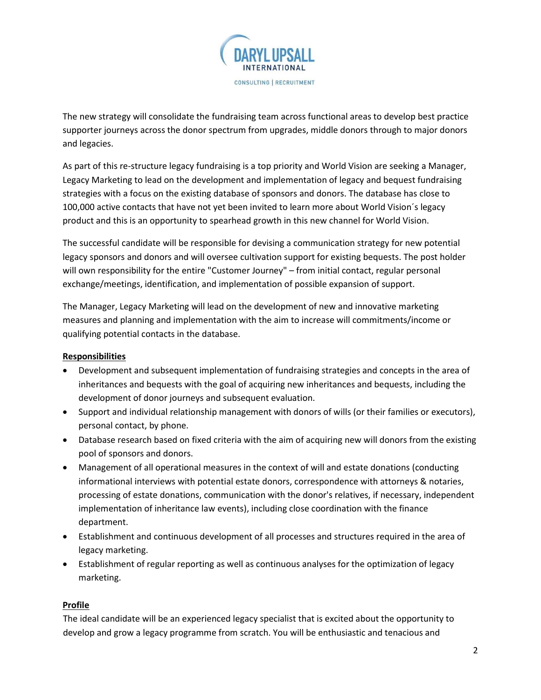

The new strategy will consolidate the fundraising team across functional areas to develop best practice supporter journeys across the donor spectrum from upgrades, middle donors through to major donors and legacies.

As part of this re-structure legacy fundraising is a top priority and World Vision are seeking a Manager, Legacy Marketing to lead on the development and implementation of legacy and bequest fundraising strategies with a focus on the existing database of sponsors and donors. The database has close to 100,000 active contacts that have not yet been invited to learn more about World Vision´s legacy product and this is an opportunity to spearhead growth in this new channel for World Vision.

The successful candidate will be responsible for devising a communication strategy for new potential legacy sponsors and donors and will oversee cultivation support for existing bequests. The post holder will own responsibility for the entire "Customer Journey" – from initial contact, regular personal exchange/meetings, identification, and implementation of possible expansion of support.

The Manager, Legacy Marketing will lead on the development of new and innovative marketing measures and planning and implementation with the aim to increase will commitments/income or qualifying potential contacts in the database.

## Responsibilities

- Development and subsequent implementation of fundraising strategies and concepts in the area of inheritances and bequests with the goal of acquiring new inheritances and bequests, including the development of donor journeys and subsequent evaluation.
- Support and individual relationship management with donors of wills (or their families or executors), personal contact, by phone.
- Database research based on fixed criteria with the aim of acquiring new will donors from the existing pool of sponsors and donors.
- Management of all operational measures in the context of will and estate donations (conducting informational interviews with potential estate donors, correspondence with attorneys & notaries, processing of estate donations, communication with the donor's relatives, if necessary, independent implementation of inheritance law events), including close coordination with the finance department.
- Establishment and continuous development of all processes and structures required in the area of legacy marketing.
- Establishment of regular reporting as well as continuous analyses for the optimization of legacy marketing.

## Profile

The ideal candidate will be an experienced legacy specialist that is excited about the opportunity to develop and grow a legacy programme from scratch. You will be enthusiastic and tenacious and